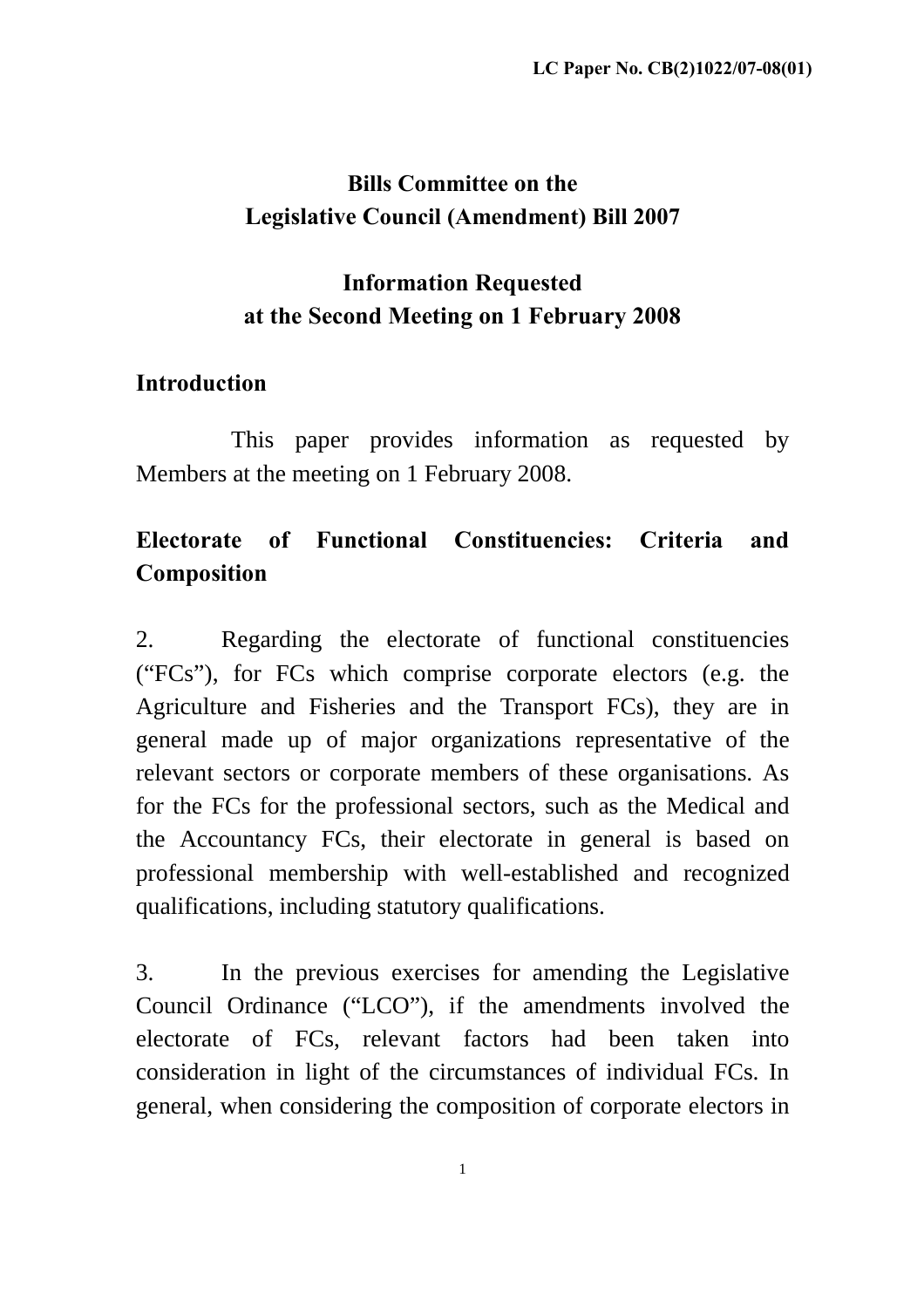# **Bills Committee on the Legislative Council (Amendment) Bill 2007**

### **Information Requested at the Second Meeting on 1 February 2008**

#### **Introduction**

This paper provides information as requested by Members at the meeting on 1 February 2008.

## **Electorate of Functional Constituencies: Criteria and Composition**

2. Regarding the electorate of functional constituencies ("FCs"), for FCs which comprise corporate electors (e.g. the Agriculture and Fisheries and the Transport FCs), they are in general made up of major organizations representative of the relevant sectors or corporate members of these organisations. As for the FCs for the professional sectors, such as the Medical and the Accountancy FCs, their electorate in general is based on professional membership with well-established and recognized qualifications, including statutory qualifications.

3. In the previous exercises for amending the Legislative Council Ordinance ("LCO"), if the amendments involved the electorate of FCs, relevant factors had been taken into consideration in light of the circumstances of individual FCs. In general, when considering the composition of corporate electors in

1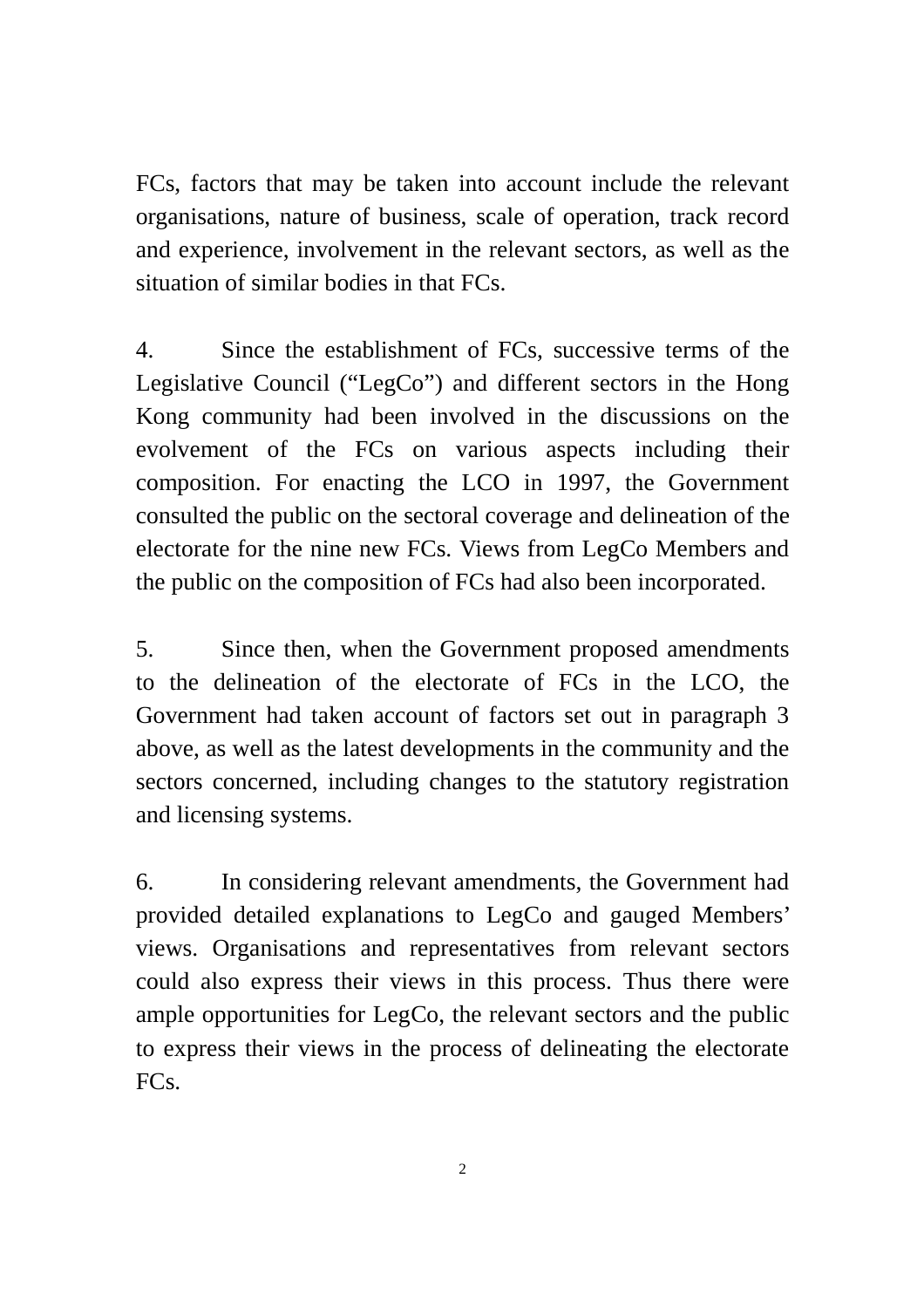FCs, factors that may be taken into account include the relevant organisations, nature of business, scale of operation, track record and experience, involvement in the relevant sectors, as well as the situation of similar bodies in that FCs.

4. Since the establishment of FCs, successive terms of the Legislative Council ("LegCo") and different sectors in the Hong Kong community had been involved in the discussions on the evolvement of the FCs on various aspects including their composition. For enacting the LCO in 1997, the Government consulted the public on the sectoral coverage and delineation of the electorate for the nine new FCs. Views from LegCo Members and the public on the composition of FCs had also been incorporated.

5. Since then, when the Government proposed amendments to the delineation of the electorate of FCs in the LCO, the Government had taken account of factors set out in paragraph 3 above, as well as the latest developments in the community and the sectors concerned, including changes to the statutory registration and licensing systems.

6. In considering relevant amendments, the Government had provided detailed explanations to LegCo and gauged Members' views. Organisations and representatives from relevant sectors could also express their views in this process. Thus there were ample opportunities for LegCo, the relevant sectors and the public to express their views in the process of delineating the electorate FC<sub>s</sub>.

2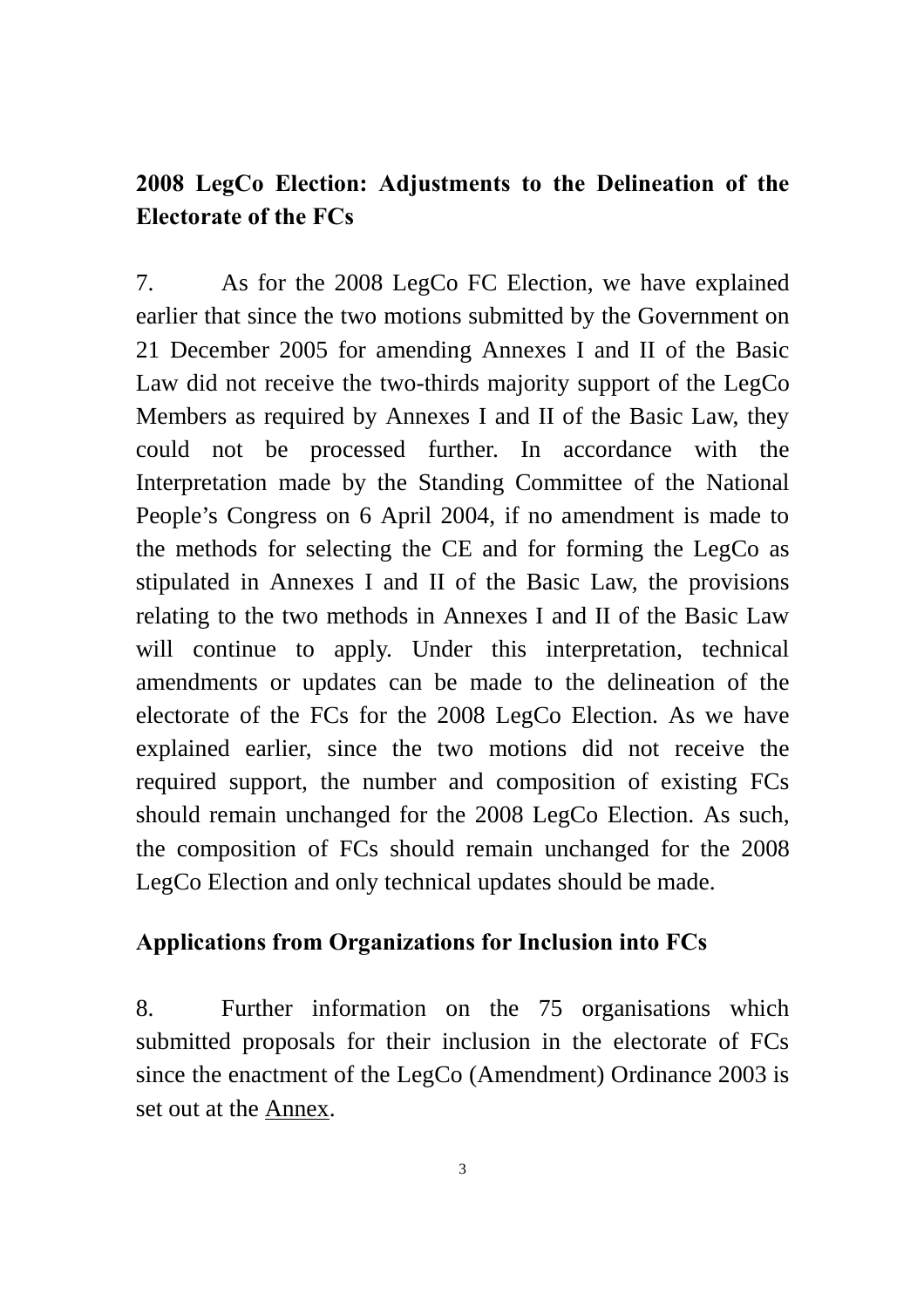### **2008 LegCo Election: Adjustments to the Delineation of the Electorate of the FCs**

7. As for the 2008 LegCo FC Election, we have explained earlier that since the two motions submitted by the Government on 21 December 2005 for amending Annexes I and II of the Basic Law did not receive the two-thirds majority support of the LegCo Members as required by Annexes I and II of the Basic Law, they could not be processed further. In accordance with the Interpretation made by the Standing Committee of the National People's Congress on 6 April 2004, if no amendment is made to the methods for selecting the CE and for forming the LegCo as stipulated in Annexes I and II of the Basic Law, the provisions relating to the two methods in Annexes I and II of the Basic Law will continue to apply. Under this interpretation, technical amendments or updates can be made to the delineation of the electorate of the FCs for the 2008 LegCo Election. As we have explained earlier, since the two motions did not receive the required support, the number and composition of existing FCs should remain unchanged for the 2008 LegCo Election. As such, the composition of FCs should remain unchanged for the 2008 LegCo Election and only technical updates should be made.

#### **Applications from Organizations for Inclusion into FCs**

8. Further information on the 75 organisations which submitted proposals for their inclusion in the electorate of FCs since the enactment of the LegCo (Amendment) Ordinance 2003 is set out at the Annex.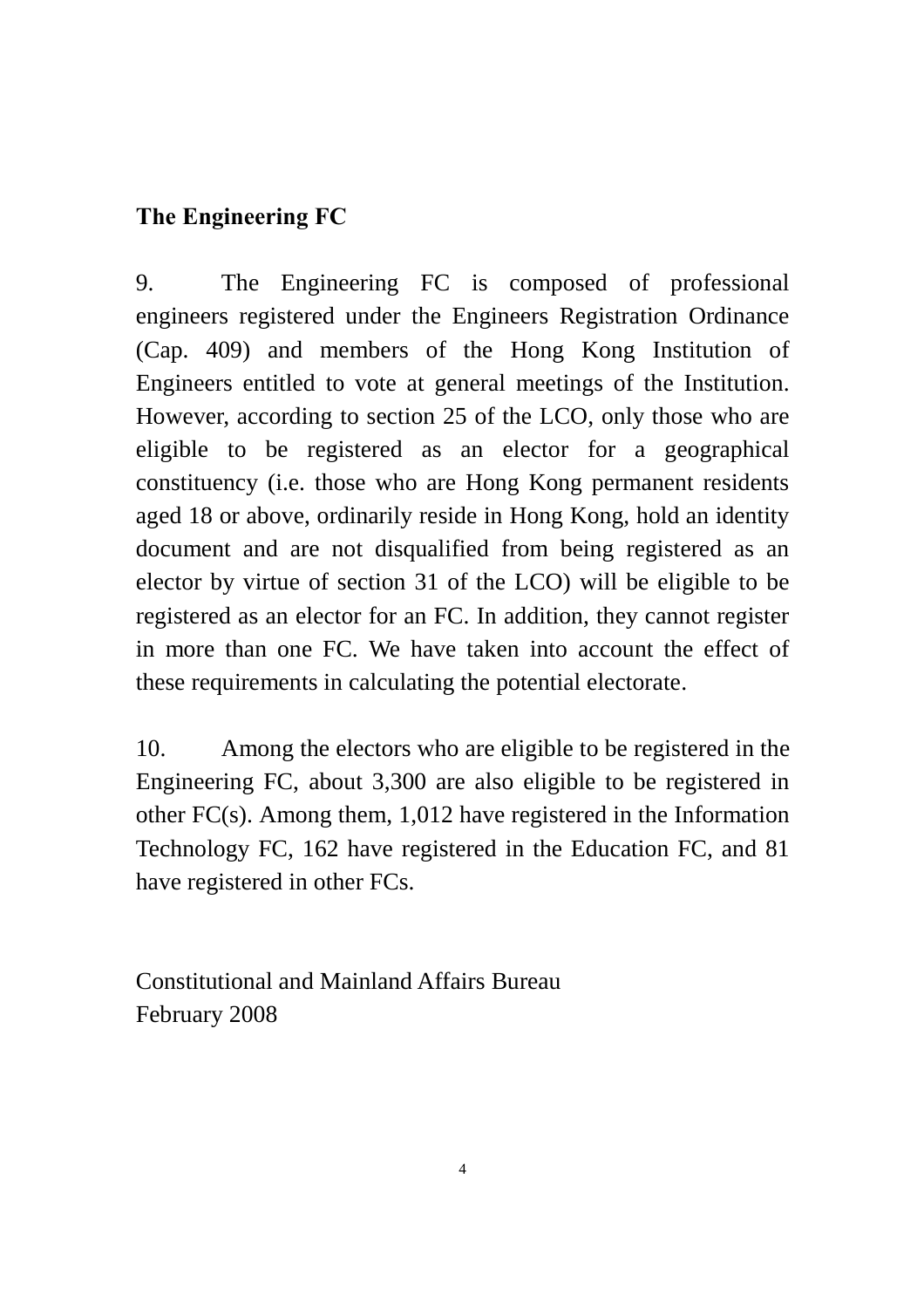#### **The Engineering FC**

9. The Engineering FC is composed of professional engineers registered under the Engineers Registration Ordinance (Cap. 409) and members of the Hong Kong Institution of Engineers entitled to vote at general meetings of the Institution. However, according to section 25 of the LCO, only those who are eligible to be registered as an elector for a geographical constituency (i.e. those who are Hong Kong permanent residents aged 18 or above, ordinarily reside in Hong Kong, hold an identity document and are not disqualified from being registered as an elector by virtue of section 31 of the LCO) will be eligible to be registered as an elector for an FC. In addition, they cannot register in more than one FC. We have taken into account the effect of these requirements in calculating the potential electorate.

10. Among the electors who are eligible to be registered in the Engineering FC, about 3,300 are also eligible to be registered in other FC(s). Among them, 1,012 have registered in the Information Technology FC, 162 have registered in the Education FC, and 81 have registered in other FCs.

Constitutional and Mainland Affairs Bureau February 2008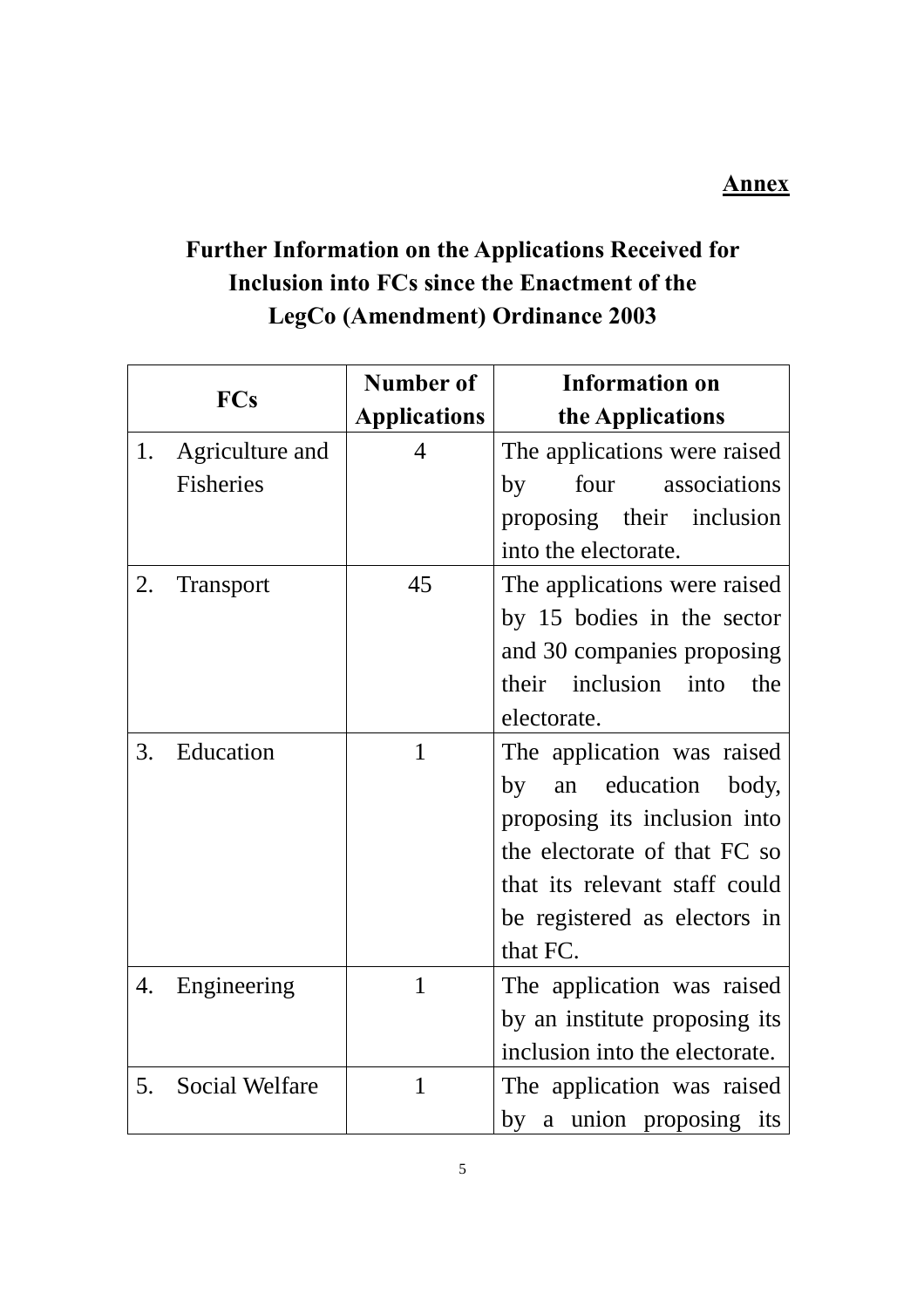#### **Annex**

# **Further Information on the Applications Received for Inclusion into FCs since the Enactment of the LegCo (Amendment) Ordinance 2003**

|    |                       | Number of           | <b>Information on</b>          |
|----|-----------------------|---------------------|--------------------------------|
|    | <b>FCs</b>            | <b>Applications</b> | the Applications               |
| 1. | Agriculture and       | 4                   | The applications were raised   |
|    | <b>Fisheries</b>      |                     | four associations<br>by        |
|    |                       |                     | proposing their inclusion      |
|    |                       |                     | into the electorate.           |
| 2. | <b>Transport</b>      | 45                  | The applications were raised   |
|    |                       |                     | by 15 bodies in the sector     |
|    |                       |                     | and 30 companies proposing     |
|    |                       |                     | their inclusion into<br>the    |
|    |                       |                     | electorate.                    |
| 3. | Education             | 1                   | The application was raised     |
|    |                       |                     | an education body,<br>by       |
|    |                       |                     | proposing its inclusion into   |
|    |                       |                     | the electorate of that FC so   |
|    |                       |                     | that its relevant staff could  |
|    |                       |                     | be registered as electors in   |
|    |                       |                     | that FC.                       |
| 4. | Engineering           | $\mathbf{1}$        | The application was raised     |
|    |                       |                     | by an institute proposing its  |
|    |                       |                     | inclusion into the electorate. |
| 5. | <b>Social Welfare</b> | $\mathbf{1}$        | The application was raised     |
|    |                       |                     | by a union proposing its       |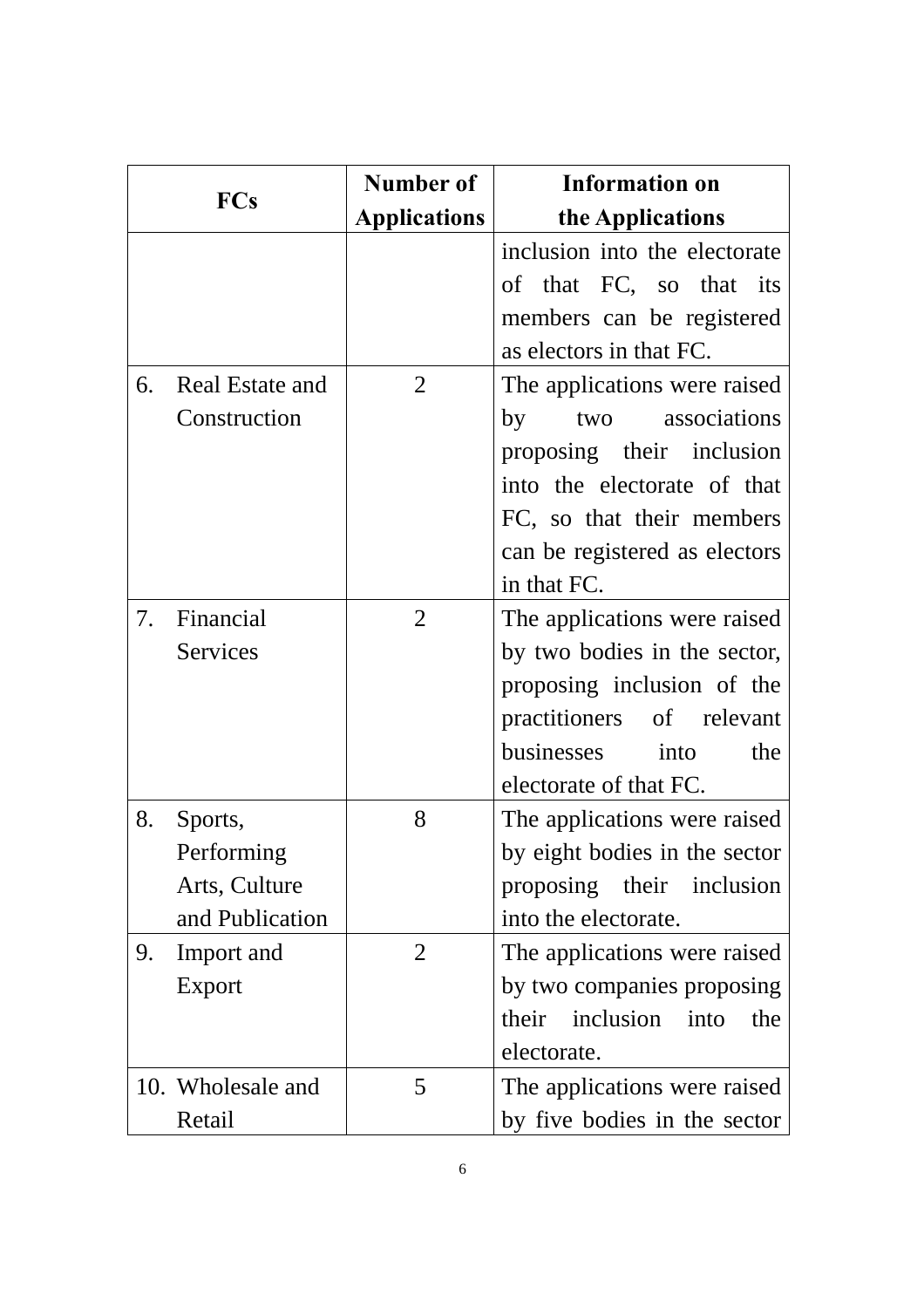| <b>FCs</b> |                   | Number of           | <b>Information on</b>         |
|------------|-------------------|---------------------|-------------------------------|
|            |                   | <b>Applications</b> | the Applications              |
|            |                   |                     | inclusion into the electorate |
|            |                   |                     | of that FC, so that its       |
|            |                   |                     | members can be registered     |
|            |                   |                     | as electors in that FC.       |
| 6.         | Real Estate and   | $\overline{2}$      | The applications were raised  |
|            | Construction      |                     | two associations<br>by        |
|            |                   |                     | proposing their inclusion     |
|            |                   |                     | into the electorate of that   |
|            |                   |                     | FC, so that their members     |
|            |                   |                     | can be registered as electors |
|            |                   |                     | in that FC.                   |
| 7.         | Financial         | $\overline{2}$      | The applications were raised  |
|            | Services          |                     | by two bodies in the sector,  |
|            |                   |                     | proposing inclusion of the    |
|            |                   |                     | practitioners of relevant     |
|            |                   |                     | businesses into<br>the        |
|            |                   |                     | electorate of that FC.        |
| 8.         | Sports,           | 8                   | The applications were raised  |
|            | Performing        |                     | by eight bodies in the sector |
|            | Arts, Culture     |                     | proposing their inclusion     |
|            | and Publication   |                     | into the electorate.          |
| 9.         | Import and        | $\overline{2}$      | The applications were raised  |
|            | Export            |                     | by two companies proposing    |
|            |                   |                     | their inclusion into<br>the   |
|            |                   |                     | electorate.                   |
|            | 10. Wholesale and | 5                   | The applications were raised  |
|            | Retail            |                     | by five bodies in the sector  |